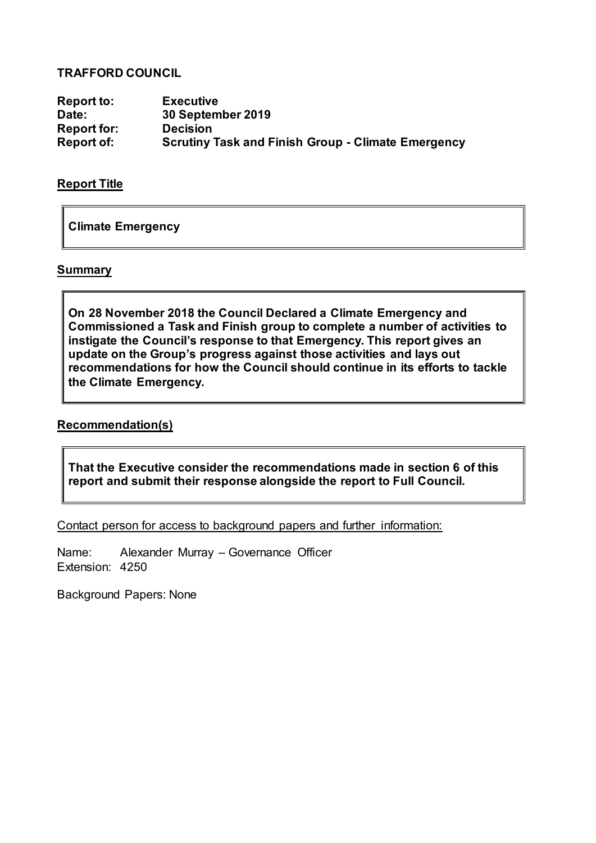# **TRAFFORD COUNCIL**

**Report to: Executive Date: 30 September 2019 Report for: Decision Scrutiny Task and Finish Group - Climate Emergency** 

#### **Report Title**

**Climate Emergency**

#### **Summary**

**On 28 November 2018 the Council Declared a Climate Emergency and Commissioned a Task and Finish group to complete a number of activities to instigate the Council's response to that Emergency. This report gives an update on the Group's progress against those activities and lays out recommendations for how the Council should continue in its efforts to tackle the Climate Emergency.**

#### **Recommendation(s)**

**That the Executive consider the recommendations made in section 6 of this report and submit their response alongside the report to Full Council.**

Contact person for access to background papers and further information:

Name: Alexander Murray – Governance Officer Extension: 4250

Background Papers: None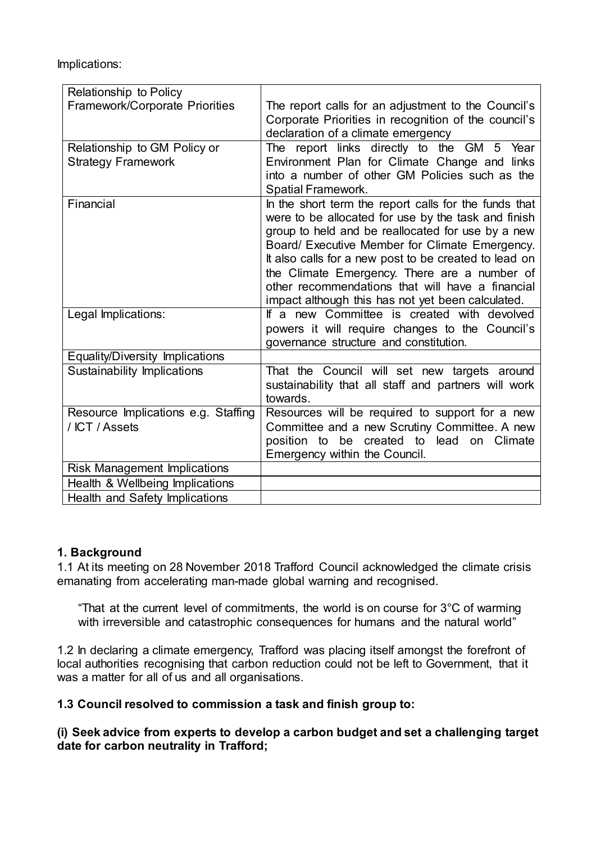Implications:

| Relationship to Policy                |                                                                                                          |
|---------------------------------------|----------------------------------------------------------------------------------------------------------|
| <b>Framework/Corporate Priorities</b> | The report calls for an adjustment to the Council's                                                      |
|                                       | Corporate Priorities in recognition of the council's                                                     |
|                                       | declaration of a climate emergency                                                                       |
| Relationship to GM Policy or          | The report links directly to the GM 5 Year                                                               |
| <b>Strategy Framework</b>             | Environment Plan for Climate Change and links                                                            |
|                                       | into a number of other GM Policies such as the                                                           |
|                                       | Spatial Framework.                                                                                       |
| Financial                             | In the short term the report calls for the funds that                                                    |
|                                       | were to be allocated for use by the task and finish<br>group to held and be reallocated for use by a new |
|                                       | Board/ Executive Member for Climate Emergency.                                                           |
|                                       | It also calls for a new post to be created to lead on                                                    |
|                                       | the Climate Emergency. There are a number of                                                             |
|                                       | other recommendations that will have a financial                                                         |
|                                       | impact although this has not yet been calculated.                                                        |
| Legal Implications:                   | If a new Committee is created with devolved                                                              |
|                                       | powers it will require changes to the Council's                                                          |
|                                       | governance structure and constitution.                                                                   |
| Equality/Diversity Implications       |                                                                                                          |
| Sustainability Implications           | That the Council will set new targets around                                                             |
|                                       | sustainability that all staff and partners will work                                                     |
|                                       | towards.                                                                                                 |
| Resource Implications e.g. Staffing   | Resources will be required to support for a new                                                          |
| / ICT / Assets                        | Committee and a new Scrutiny Committee. A new                                                            |
|                                       | position to be created to lead on Climate<br>Emergency within the Council.                               |
| <b>Risk Management Implications</b>   |                                                                                                          |
|                                       |                                                                                                          |
| Health & Wellbeing Implications       |                                                                                                          |
| Health and Safety Implications        |                                                                                                          |

# **1. Background**

1.1 At its meeting on 28 November 2018 Trafford Council acknowledged the climate crisis emanating from accelerating man-made global warning and recognised.

"That at the current level of commitments, the world is on course for  $3^{\circ}$ C of warming with irreversible and catastrophic consequences for humans and the natural world"

1.2 In declaring a climate emergency, Trafford was placing itself amongst the forefront of local authorities recognising that carbon reduction could not be left to Government, that it was a matter for all of us and all organisations.

**1.3 Council resolved to commission a task and finish group to:** 

**(i) Seek advice from experts to develop a carbon budget and set a challenging target date for carbon neutrality in Trafford;**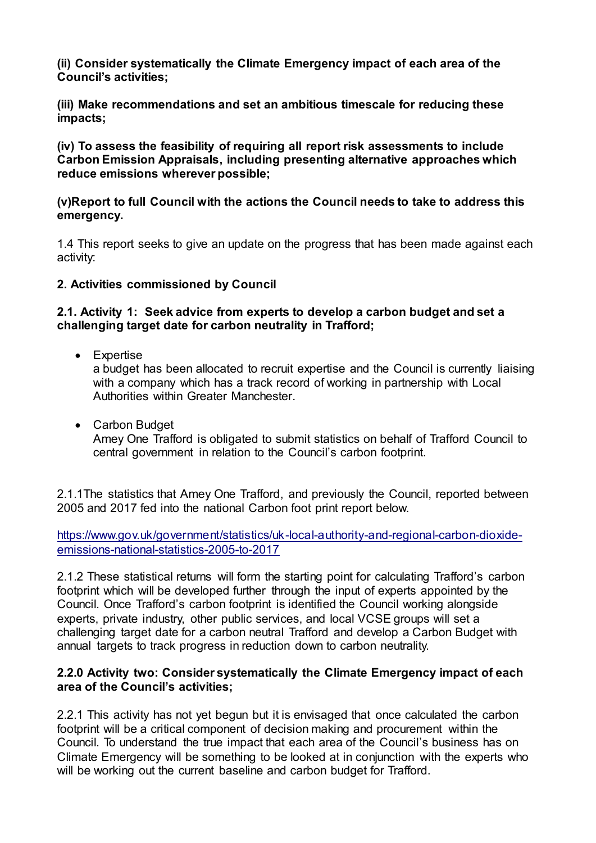**(ii) Consider systematically the Climate Emergency impact of each area of the Council's activities;**

**(iii) Make recommendations and set an ambitious timescale for reducing these impacts;**

**(iv) To assess the feasibility of requiring all report risk assessments to include Carbon Emission Appraisals, including presenting alternative approaches which reduce emissions wherever possible;**

#### **(v)Report to full Council with the actions the Council needs to take to address this emergency.**

1.4 This report seeks to give an update on the progress that has been made against each activity:

# **2. Activities commissioned by Council**

#### **2.1. Activity 1: Seek advice from experts to develop a carbon budget and set a challenging target date for carbon neutrality in Trafford;**

• Expertise

a budget has been allocated to recruit expertise and the Council is currently liaising with a company which has a track record of working in partnership with Local Authorities within Greater Manchester.

 Carbon Budget Amey One Trafford is obligated to submit statistics on behalf of Trafford Council to central government in relation to the Council's carbon footprint.

2.1.1The statistics that Amey One Trafford, and previously the Council, reported between 2005 and 2017 fed into the national Carbon foot print report below.

[https://www.gov.uk/government/statistics/uk-local-authority-and-regional-carbon-dioxide](https://www.gov.uk/government/statistics/uk-local-authority-and-regional-carbon-dioxide-emissions-national-statistics-2005-to-2017)[emissions-national-statistics-2005-to-2017](https://www.gov.uk/government/statistics/uk-local-authority-and-regional-carbon-dioxide-emissions-national-statistics-2005-to-2017)

2.1.2 These statistical returns will form the starting point for calculating Trafford's carbon footprint which will be developed further through the input of experts appointed by the Council. Once Trafford's carbon footprint is identified the Council working alongside experts, private industry, other public services, and local VCSE groups will set a challenging target date for a carbon neutral Trafford and develop a Carbon Budget with annual targets to track progress in reduction down to carbon neutrality.

#### **2.2.0 Activity two: Consider systematically the Climate Emergency impact of each area of the Council's activities;**

2.2.1 This activity has not yet begun but it is envisaged that once calculated the carbon footprint will be a critical component of decision making and procurement within the Council. To understand the true impact that each area of the Council's business has on Climate Emergency will be something to be looked at in conjunction with the experts who will be working out the current baseline and carbon budget for Trafford.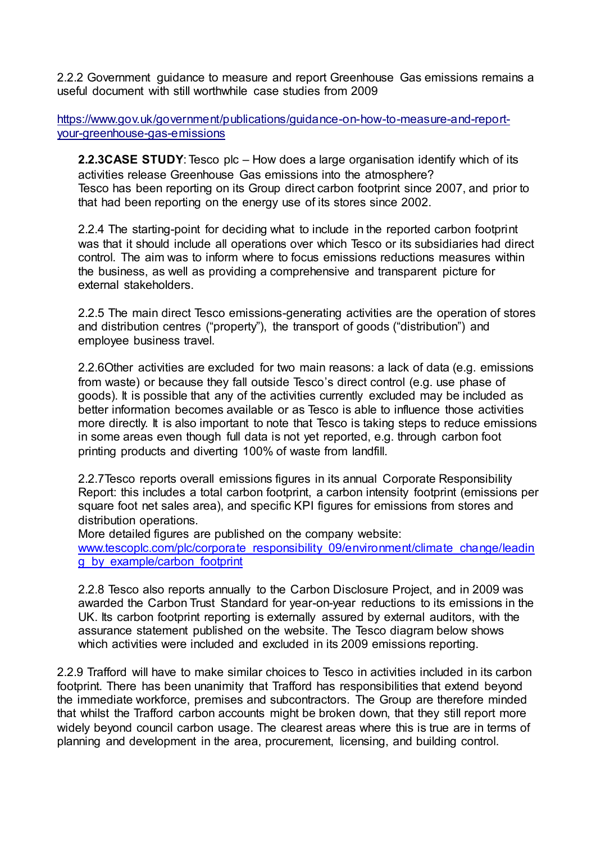2.2.2 Government guidance to measure and report Greenhouse Gas emissions remains a useful document with still worthwhile case studies from 2009

https://www.gov.uk/government/publications/guidance-on-how-to-measure-and-reportyour-greenhouse-gas-emissions

**2.2.3CASE STUDY**: Tesco plc – How does a large organisation identify which of its activities release Greenhouse Gas emissions into the atmosphere? Tesco has been reporting on its Group direct carbon footprint since 2007, and prior to that had been reporting on the energy use of its stores since 2002.

2.2.4 The starting-point for deciding what to include in the reported carbon footprint was that it should include all operations over which Tesco or its subsidiaries had direct control. The aim was to inform where to focus emissions reductions measures within the business, as well as providing a comprehensive and transparent picture for external stakeholders.

2.2.5 The main direct Tesco emissions-generating activities are the operation of stores and distribution centres ("property"), the transport of goods ("distribution") and employee business travel.

2.2.6Other activities are excluded for two main reasons: a lack of data (e.g. emissions from waste) or because they fall outside Tesco's direct control (e.g. use phase of goods). It is possible that any of the activities currently excluded may be included as better information becomes available or as Tesco is able to influence those activities more directly. It is also important to note that Tesco is taking steps to reduce emissions in some areas even though full data is not yet reported, e.g. through carbon foot printing products and diverting 100% of waste from landfill.

2.2.7Tesco reports overall emissions figures in its annual Corporate Responsibility Report: this includes a total carbon footprint, a carbon intensity footprint (emissions per square foot net sales area), and specific KPI figures for emissions from stores and distribution operations.

More detailed figures are published on the company website:

[www.tescoplc.com/plc/corporate\\_responsibility\\_09/environment/climate\\_change/leadin](http://www.tescoplc.com/plc/corporate_responsibility_09/environment/climate_change/leading_by_example/carbon_footprint) [g\\_by\\_example/carbon\\_footprint](http://www.tescoplc.com/plc/corporate_responsibility_09/environment/climate_change/leading_by_example/carbon_footprint)

2.2.8 Tesco also reports annually to the Carbon Disclosure Project, and in 2009 was awarded the Carbon Trust Standard for year-on-year reductions to its emissions in the UK. Its carbon footprint reporting is externally assured by external auditors, with the assurance statement published on the website. The Tesco diagram below shows which activities were included and excluded in its 2009 emissions reporting.

2.2.9 Trafford will have to make similar choices to Tesco in activities included in its carbon footprint. There has been unanimity that Trafford has responsibilities that extend beyond the immediate workforce, premises and subcontractors. The Group are therefore minded that whilst the Trafford carbon accounts might be broken down, that they still report more widely beyond council carbon usage. The clearest areas where this is true are in terms of planning and development in the area, procurement, licensing, and building control.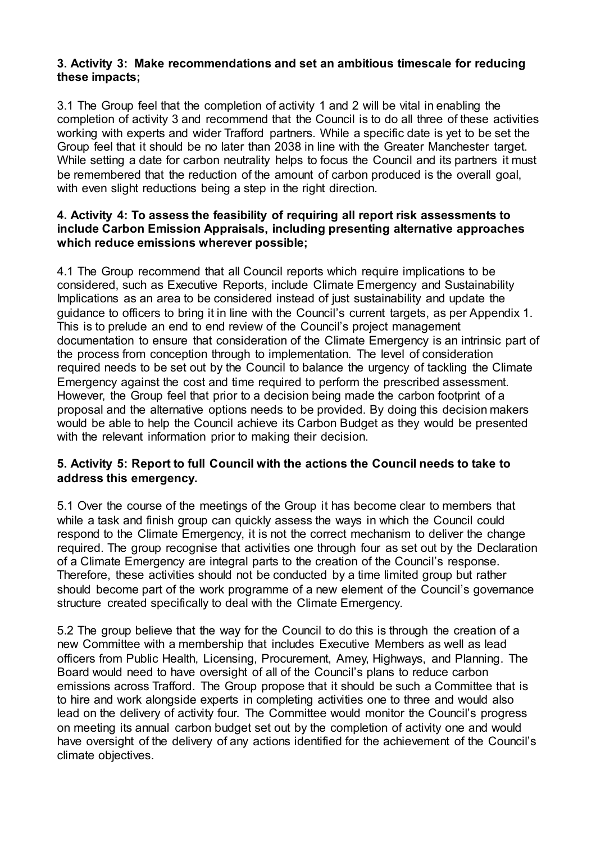# **3. Activity 3: Make recommendations and set an ambitious timescale for reducing these impacts;**

3.1 The Group feel that the completion of activity 1 and 2 will be vital in enabling the completion of activity 3 and recommend that the Council is to do all three of these activities working with experts and wider Trafford partners. While a specific date is yet to be set the Group feel that it should be no later than 2038 in line with the Greater Manchester target. While setting a date for carbon neutrality helps to focus the Council and its partners it must be remembered that the reduction of the amount of carbon produced is the overall goal, with even slight reductions being a step in the right direction.

#### **4. Activity 4: To assess the feasibility of requiring all report risk assessments to include Carbon Emission Appraisals, including presenting alternative approaches which reduce emissions wherever possible;**

4.1 The Group recommend that all Council reports which require implications to be considered, such as Executive Reports, include Climate Emergency and Sustainability Implications as an area to be considered instead of just sustainability and update the guidance to officers to bring it in line with the Council's current targets, as per Appendix 1. This is to prelude an end to end review of the Council's project management documentation to ensure that consideration of the Climate Emergency is an intrinsic part of the process from conception through to implementation. The level of consideration required needs to be set out by the Council to balance the urgency of tackling the Climate Emergency against the cost and time required to perform the prescribed assessment. However, the Group feel that prior to a decision being made the carbon footprint of a proposal and the alternative options needs to be provided. By doing this decision makers would be able to help the Council achieve its Carbon Budget as they would be presented with the relevant information prior to making their decision.

# **5. Activity 5: Report to full Council with the actions the Council needs to take to address this emergency.**

5.1 Over the course of the meetings of the Group it has become clear to members that while a task and finish group can quickly assess the ways in which the Council could respond to the Climate Emergency, it is not the correct mechanism to deliver the change required. The group recognise that activities one through four as set out by the Declaration of a Climate Emergency are integral parts to the creation of the Council's response. Therefore, these activities should not be conducted by a time limited group but rather should become part of the work programme of a new element of the Council's governance structure created specifically to deal with the Climate Emergency.

5.2 The group believe that the way for the Council to do this is through the creation of a new Committee with a membership that includes Executive Members as well as lead officers from Public Health, Licensing, Procurement, Amey, Highways, and Planning. The Board would need to have oversight of all of the Council's plans to reduce carbon emissions across Trafford. The Group propose that it should be such a Committee that is to hire and work alongside experts in completing activities one to three and would also lead on the delivery of activity four. The Committee would monitor the Council's progress on meeting its annual carbon budget set out by the completion of activity one and would have oversight of the delivery of any actions identified for the achievement of the Council's climate objectives.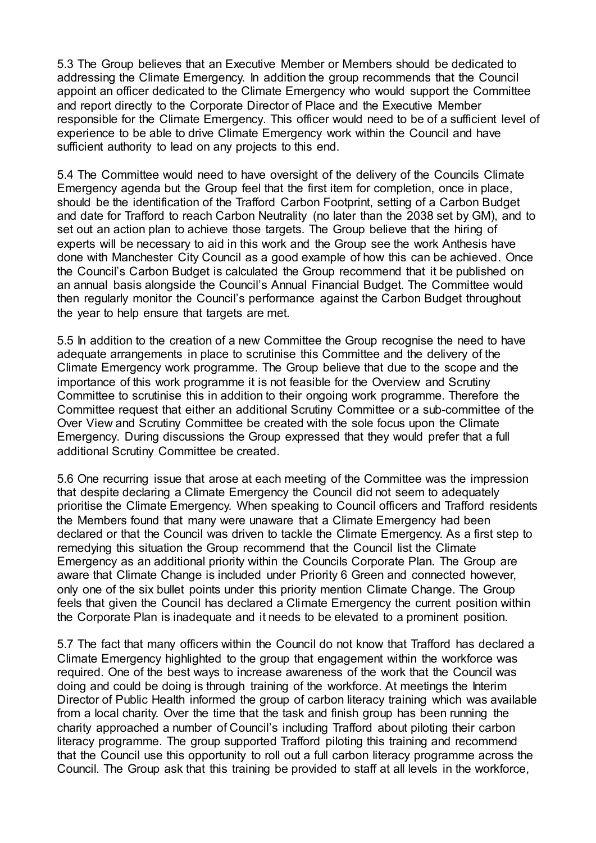5.3 The Group believes that an Executive Member or Members should be dedicated to addressing the Climate Emergency. In addition the group recommends that the Council appoint an officer dedicated to the Climate Emergency who would support the Committee and report directly to the Corporate Director of Place and the Executive Member responsible for the Climate Emergency. This officer would need to be of a sufficient level of experience to be able to drive Climate Emergency work within the Council and have sufficient authority to lead on any projects to this end.

5.4 The Committee would need to have oversight of the delivery of the Councils Climate Emergency agenda but the Group feel that the first item for completion, once in place, should be the identification of the Trafford Carbon Footprint, setting of a Carbon Budget and date for Trafford to reach Carbon Neutrality (no later than the 2038 set by GM), and to set out an action plan to achieve those targets. The Group believe that the hiring of experts will be necessary to aid in this work and the Group see the work Anthesis have done with Manchester City Council as a good example of how this can be achieved. Once the Council's Carbon Budget is calculated the Group recommend that it be published on an annual basis alongside the Council's Annual Financial Budget. The Committee would then regularly monitor the Council's performance against the Carbon Budget throughout the year to help ensure that targets are met.

5.5 In addition to the creation of a new Committee the Group recognise the need to have adequate arrangements in place to scrutinise this Committee and the delivery of the Climate Emergency work programme. The Group believe that due to the scope and the importance of this work programme it is not feasible for the Overview and Scrutiny Committee to scrutinise this in addition to their ongoing work programme. Therefore the Committee request that either an additional Scrutiny Committee or a sub-committee of the Over View and Scrutiny Committee be created with the sole focus upon the Climate Emergency. During discussions the Group expressed that they would prefer that a full additional Scrutiny Committee be created.

5.6 One recurring issue that arose at each meeting of the Committee was the impression that despite declaring a Climate Emergency the Council did not seem to adequately prioritise the Climate Emergency. When speaking to Council officers and Trafford residents the Members found that many were unaware that a Climate Emergency had been declared or that the Council was driven to tackle the Climate Emergency. As a first step to remedying this situation the Group recommend that the Council list the Climate Emergency as an additional priority within the Councils Corporate Plan. The Group are aware that Climate Change is included under Priority 6 Green and connected however, only one of the six bullet points under this priority mention Climate Change. The Group feels that given the Council has declared a Climate Emergency the current position within the Corporate Plan is inadequate and it needs to be elevated to a prominent position.

5.7 The fact that many officers within the Council do not know that Trafford has declared a Climate Emergency highlighted to the group that engagement within the workforce was required. One of the best ways to increase awareness of the work that the Council was doing and could be doing is through training of the workforce. At meetings the Interim Director of Public Health informed the group of carbon literacy training which was available from a local charity. Over the time that the task and finish group has been running the charity approached a number of Council's including Trafford about piloting their carbon literacy programme. The group supported Trafford piloting this training and recommend that the Council use this opportunity to roll out a full carbon literacy programme across the Council. The Group ask that this training be provided to staff at all levels in the workforce,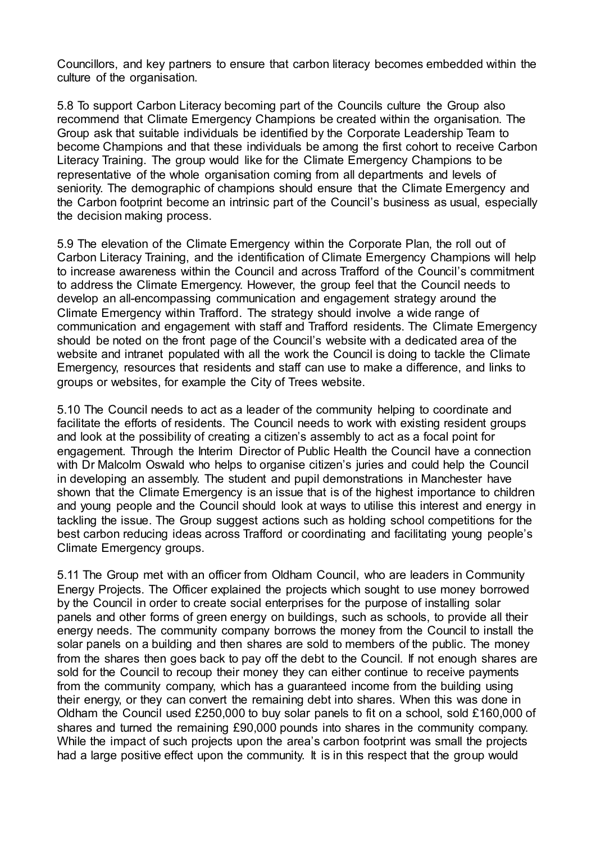Councillors, and key partners to ensure that carbon literacy becomes embedded within the culture of the organisation.

5.8 To support Carbon Literacy becoming part of the Councils culture the Group also recommend that Climate Emergency Champions be created within the organisation. The Group ask that suitable individuals be identified by the Corporate Leadership Team to become Champions and that these individuals be among the first cohort to receive Carbon Literacy Training. The group would like for the Climate Emergency Champions to be representative of the whole organisation coming from all departments and levels of seniority. The demographic of champions should ensure that the Climate Emergency and the Carbon footprint become an intrinsic part of the Council's business as usual, especially the decision making process.

5.9 The elevation of the Climate Emergency within the Corporate Plan, the roll out of Carbon Literacy Training, and the identification of Climate Emergency Champions will help to increase awareness within the Council and across Trafford of the Council's commitment to address the Climate Emergency. However, the group feel that the Council needs to develop an all-encompassing communication and engagement strategy around the Climate Emergency within Trafford. The strategy should involve a wide range of communication and engagement with staff and Trafford residents. The Climate Emergency should be noted on the front page of the Council's website with a dedicated area of the website and intranet populated with all the work the Council is doing to tackle the Climate Emergency, resources that residents and staff can use to make a difference, and links to groups or websites, for example the City of Trees website.

5.10 The Council needs to act as a leader of the community helping to coordinate and facilitate the efforts of residents. The Council needs to work with existing resident groups and look at the possibility of creating a citizen's assembly to act as a focal point for engagement. Through the Interim Director of Public Health the Council have a connection with Dr Malcolm Oswald who helps to organise citizen's juries and could help the Council in developing an assembly. The student and pupil demonstrations in Manchester have shown that the Climate Emergency is an issue that is of the highest importance to children and young people and the Council should look at ways to utilise this interest and energy in tackling the issue. The Group suggest actions such as holding school competitions for the best carbon reducing ideas across Trafford or coordinating and facilitating young people's Climate Emergency groups.

5.11 The Group met with an officer from Oldham Council, who are leaders in Community Energy Projects. The Officer explained the projects which sought to use money borrowed by the Council in order to create social enterprises for the purpose of installing solar panels and other forms of green energy on buildings, such as schools, to provide all their energy needs. The community company borrows the money from the Council to install the solar panels on a building and then shares are sold to members of the public. The money from the shares then goes back to pay off the debt to the Council. If not enough shares are sold for the Council to recoup their money they can either continue to receive payments from the community company, which has a guaranteed income from the building using their energy, or they can convert the remaining debt into shares. When this was done in Oldham the Council used £250,000 to buy solar panels to fit on a school, sold £160,000 of shares and turned the remaining £90,000 pounds into shares in the community company. While the impact of such projects upon the area's carbon footprint was small the projects had a large positive effect upon the community. It is in this respect that the group would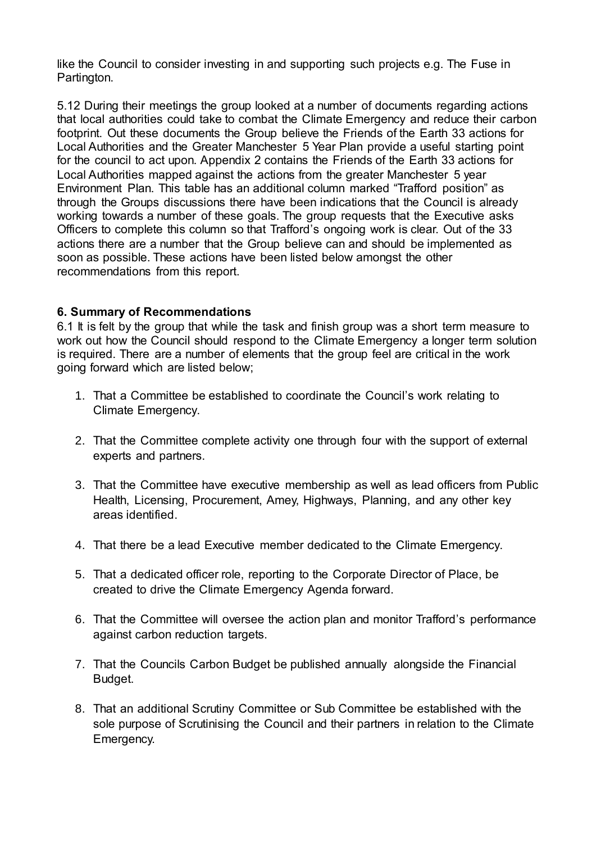like the Council to consider investing in and supporting such projects e.g. The Fuse in Partington.

5.12 During their meetings the group looked at a number of documents regarding actions that local authorities could take to combat the Climate Emergency and reduce their carbon footprint. Out these documents the Group believe the Friends of the Earth 33 actions for Local Authorities and the Greater Manchester 5 Year Plan provide a useful starting point for the council to act upon. Appendix 2 contains the Friends of the Earth 33 actions for Local Authorities mapped against the actions from the greater Manchester 5 year Environment Plan. This table has an additional column marked "Trafford position" as through the Groups discussions there have been indications that the Council is already working towards a number of these goals. The group requests that the Executive asks Officers to complete this column so that Trafford's ongoing work is clear. Out of the 33 actions there are a number that the Group believe can and should be implemented as soon as possible. These actions have been listed below amongst the other recommendations from this report.

# **6. Summary of Recommendations**

6.1 It is felt by the group that while the task and finish group was a short term measure to work out how the Council should respond to the Climate Emergency a longer term solution is required. There are a number of elements that the group feel are critical in the work going forward which are listed below;

- 1. That a Committee be established to coordinate the Council's work relating to Climate Emergency.
- 2. That the Committee complete activity one through four with the support of external experts and partners.
- 3. That the Committee have executive membership as well as lead officers from Public Health, Licensing, Procurement, Amey, Highways, Planning, and any other key areas identified.
- 4. That there be a lead Executive member dedicated to the Climate Emergency.
- 5. That a dedicated officer role, reporting to the Corporate Director of Place, be created to drive the Climate Emergency Agenda forward.
- 6. That the Committee will oversee the action plan and monitor Trafford's performance against carbon reduction targets.
- 7. That the Councils Carbon Budget be published annually alongside the Financial Budget.
- 8. That an additional Scrutiny Committee or Sub Committee be established with the sole purpose of Scrutinising the Council and their partners in relation to the Climate Emergency.